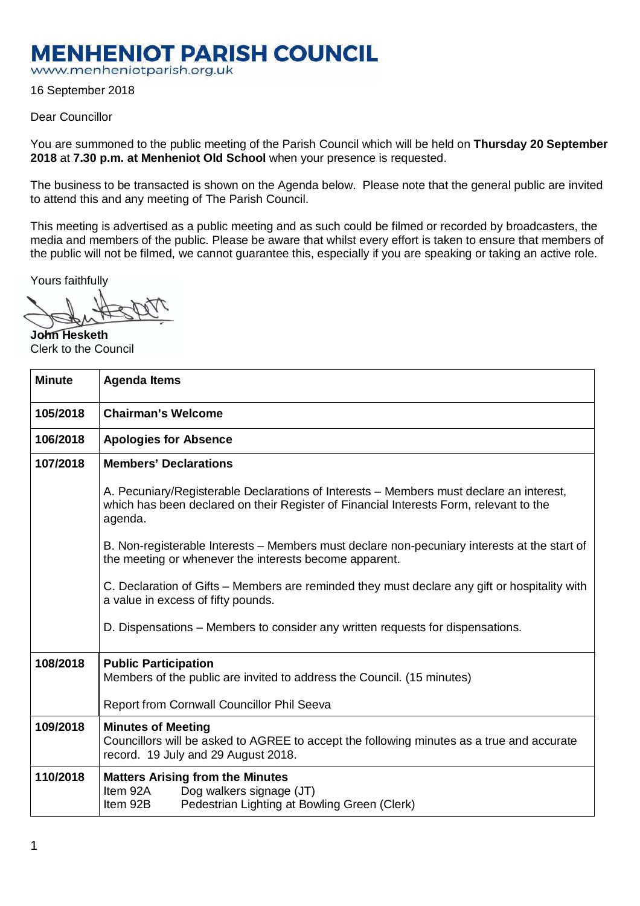## **MENHENIOT PARISH COUNCIL**

www.menheniotparish.org.uk

16 September 2018

## Dear Councillor

You are summoned to the public meeting of the Parish Council which will be held on **Thursday 20 September 2018** at **7.30 p.m. at Menheniot Old School** when your presence is requested.

The business to be transacted is shown on the Agenda below. Please note that the general public are invited to attend this and any meeting of The Parish Council.

This meeting is advertised as a public meeting and as such could be filmed or recorded by broadcasters, the media and members of the public. Please be aware that whilst every effort is taken to ensure that members of the public will not be filmed, we cannot guarantee this, especially if you are speaking or taking an active role.

Yours faithfully

**John Hesketh**  Clerk to the Council

| <b>Minute</b> | <b>Agenda Items</b>                                                                                                                                                                          |  |  |  |  |
|---------------|----------------------------------------------------------------------------------------------------------------------------------------------------------------------------------------------|--|--|--|--|
| 105/2018      | <b>Chairman's Welcome</b>                                                                                                                                                                    |  |  |  |  |
| 106/2018      | <b>Apologies for Absence</b>                                                                                                                                                                 |  |  |  |  |
| 107/2018      | <b>Members' Declarations</b>                                                                                                                                                                 |  |  |  |  |
|               | A. Pecuniary/Registerable Declarations of Interests – Members must declare an interest,<br>which has been declared on their Register of Financial Interests Form, relevant to the<br>agenda. |  |  |  |  |
|               | B. Non-registerable Interests – Members must declare non-pecuniary interests at the start of<br>the meeting or whenever the interests become apparent.                                       |  |  |  |  |
|               | C. Declaration of Gifts – Members are reminded they must declare any gift or hospitality with<br>a value in excess of fifty pounds.                                                          |  |  |  |  |
|               | D. Dispensations – Members to consider any written requests for dispensations.                                                                                                               |  |  |  |  |
| 108/2018      | <b>Public Participation</b><br>Members of the public are invited to address the Council. (15 minutes)<br>Report from Cornwall Councillor Phil Seeva                                          |  |  |  |  |
| 109/2018      | <b>Minutes of Meeting</b>                                                                                                                                                                    |  |  |  |  |
|               | Councillors will be asked to AGREE to accept the following minutes as a true and accurate<br>record. 19 July and 29 August 2018.                                                             |  |  |  |  |
| 110/2018      | <b>Matters Arising from the Minutes</b><br>Item 92A<br>Dog walkers signage (JT)<br>Item 92B<br>Pedestrian Lighting at Bowling Green (Clerk)                                                  |  |  |  |  |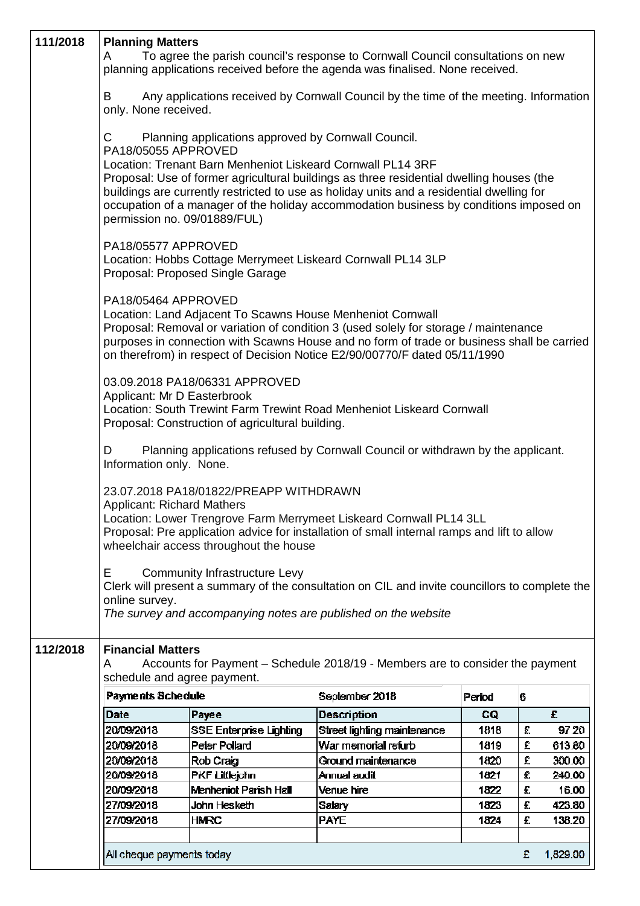| 111/2018 | <b>Planning Matters</b><br>A                                 |                                                                                                                    | To agree the parish council's response to Cornwall Council consultations on new<br>planning applications received before the agenda was finalised. None received.                                                                                                               |        |   |          |
|----------|--------------------------------------------------------------|--------------------------------------------------------------------------------------------------------------------|---------------------------------------------------------------------------------------------------------------------------------------------------------------------------------------------------------------------------------------------------------------------------------|--------|---|----------|
|          | B<br>only. None received.                                    |                                                                                                                    | Any applications received by Cornwall Council by the time of the meeting. Information                                                                                                                                                                                           |        |   |          |
|          | С<br>PA18/05055 APPROVED                                     | Planning applications approved by Cornwall Council.<br>Location: Trenant Barn Menheniot Liskeard Cornwall PL14 3RF |                                                                                                                                                                                                                                                                                 |        |   |          |
|          | permission no. 09/01889/FUL)                                 |                                                                                                                    | Proposal: Use of former agricultural buildings as three residential dwelling houses (the<br>buildings are currently restricted to use as holiday units and a residential dwelling for<br>occupation of a manager of the holiday accommodation business by conditions imposed on |        |   |          |
|          | PA18/05577 APPROVED                                          | Proposal: Proposed Single Garage                                                                                   | Location: Hobbs Cottage Merrymeet Liskeard Cornwall PL14 3LP                                                                                                                                                                                                                    |        |   |          |
|          | PA18/05464 APPROVED                                          | Location: Land Adjacent To Scawns House Menheniot Cornwall                                                         | Proposal: Removal or variation of condition 3 (used solely for storage / maintenance<br>purposes in connection with Scawns House and no form of trade or business shall be carried<br>on therefrom) in respect of Decision Notice E2/90/00770/F dated 05/11/1990                |        |   |          |
|          | Applicant: Mr D Easterbrook                                  | 03.09.2018 PA18/06331 APPROVED<br>Proposal: Construction of agricultural building.                                 | Location: South Trewint Farm Trewint Road Menheniot Liskeard Cornwall                                                                                                                                                                                                           |        |   |          |
|          | D<br>Information only. None.                                 |                                                                                                                    | Planning applications refused by Cornwall Council or withdrawn by the applicant.                                                                                                                                                                                                |        |   |          |
|          | <b>Applicant: Richard Mathers</b>                            | 23.07.2018 PA18/01822/PREAPP WITHDRAWN<br>wheelchair access throughout the house                                   | Location: Lower Trengrove Farm Merrymeet Liskeard Cornwall PL14 3LL<br>Proposal: Pre application advice for installation of small internal ramps and lift to allow                                                                                                              |        |   |          |
|          | E.<br>online survey.                                         | <b>Community Infrastructure Levy</b>                                                                               | Clerk will present a summary of the consultation on CIL and invite councillors to complete the<br>The survey and accompanying notes are published on the website                                                                                                                |        |   |          |
| 112/2018 | <b>Financial Matters</b><br>A<br>schedule and agree payment. |                                                                                                                    | Accounts for Payment - Schedule 2018/19 - Members are to consider the payment                                                                                                                                                                                                   |        |   |          |
|          | Payments Schedule                                            |                                                                                                                    | September 2018                                                                                                                                                                                                                                                                  | Period | 6 |          |
|          | Date                                                         | Payee                                                                                                              | <b>Description</b>                                                                                                                                                                                                                                                              | CQ     |   | £        |
|          | 20/09/2018                                                   | SSE Enterprise Lighting                                                                                            | Street lighting maintenance                                                                                                                                                                                                                                                     | 1818   | £ | 97.20    |
|          | 20/09/2018                                                   | Peter Pollard                                                                                                      | War memorial refurb                                                                                                                                                                                                                                                             | 1819   | £ | 613.80   |
|          | 20/09/2018                                                   | Rob Craig                                                                                                          | Ground maintenance                                                                                                                                                                                                                                                              | 1820   | £ | 300.00   |
|          | 20/09/2018                                                   | <b>PKF Littlejohn</b>                                                                                              | Annual audit                                                                                                                                                                                                                                                                    | 1821   | £ | 240.00   |
|          | 20/09/2018                                                   | Menheniot Parish Hall                                                                                              | Venue hire                                                                                                                                                                                                                                                                      | 1822   | £ | 16.00    |
|          | 27/09/2018                                                   | John Hesketh                                                                                                       | Salary                                                                                                                                                                                                                                                                          | 1823   | £ | 423.80   |
|          | 27/09/2018                                                   | <b>HMRC</b>                                                                                                        | <b>PAYE</b>                                                                                                                                                                                                                                                                     | 1824   | £ | 138.20   |
|          |                                                              |                                                                                                                    |                                                                                                                                                                                                                                                                                 |        |   |          |
|          | All cheque payments today                                    |                                                                                                                    |                                                                                                                                                                                                                                                                                 |        | £ | 1,829.00 |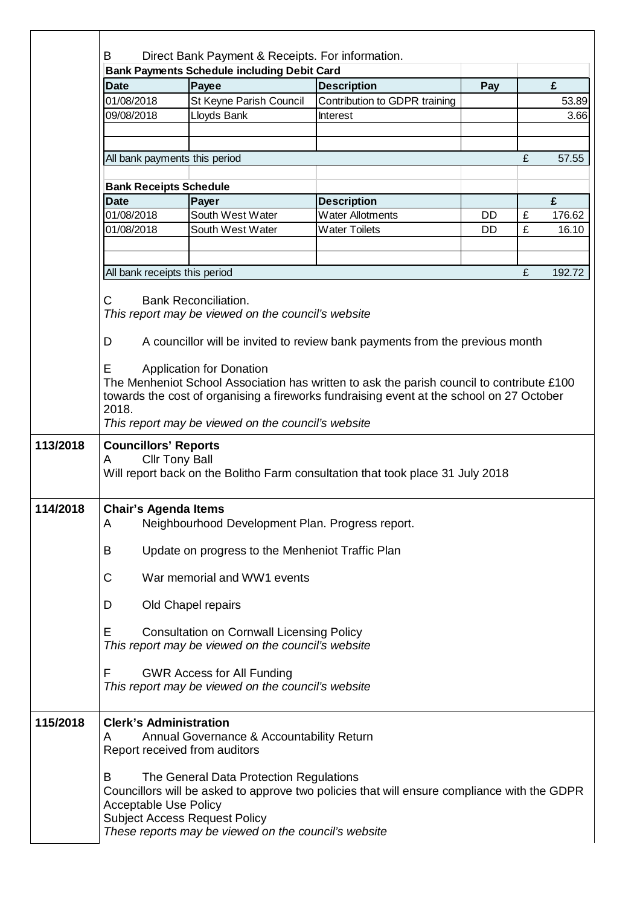|          |                                                                                                                                             | <b>Bank Payments Schedule including Debit Card</b>                                      |                                                                                                                                                                                       |     |   |        |  |  |
|----------|---------------------------------------------------------------------------------------------------------------------------------------------|-----------------------------------------------------------------------------------------|---------------------------------------------------------------------------------------------------------------------------------------------------------------------------------------|-----|---|--------|--|--|
|          | <b>Date</b>                                                                                                                                 | Payee                                                                                   | <b>Description</b>                                                                                                                                                                    | Pay |   | £      |  |  |
|          | 01/08/2018                                                                                                                                  | St Keyne Parish Council                                                                 | Contribution to GDPR training                                                                                                                                                         |     |   | 53.89  |  |  |
|          | 09/08/2018                                                                                                                                  | Lloyds Bank                                                                             | Interest                                                                                                                                                                              |     |   | 3.66   |  |  |
|          | All bank payments this period                                                                                                               |                                                                                         |                                                                                                                                                                                       |     | £ | 57.55  |  |  |
|          | <b>Bank Receipts Schedule</b>                                                                                                               |                                                                                         |                                                                                                                                                                                       |     |   |        |  |  |
|          | <b>Date</b>                                                                                                                                 | Payer                                                                                   | <b>Description</b>                                                                                                                                                                    |     |   | £      |  |  |
|          | 01/08/2018                                                                                                                                  | South West Water                                                                        | <b>Water Allotments</b>                                                                                                                                                               | DD  | £ | 176.62 |  |  |
|          | 01/08/2018                                                                                                                                  | South West Water                                                                        | <b>Water Toilets</b>                                                                                                                                                                  | DD. | £ | 16.10  |  |  |
|          |                                                                                                                                             |                                                                                         |                                                                                                                                                                                       |     |   |        |  |  |
|          | All bank receipts this period                                                                                                               |                                                                                         |                                                                                                                                                                                       |     | £ | 192.72 |  |  |
|          | C                                                                                                                                           | <b>Bank Reconciliation.</b><br>This report may be viewed on the council's website       |                                                                                                                                                                                       |     |   |        |  |  |
|          | D                                                                                                                                           |                                                                                         | A councillor will be invited to review bank payments from the previous month                                                                                                          |     |   |        |  |  |
|          | Е<br>2018.                                                                                                                                  | <b>Application for Donation</b><br>This report may be viewed on the council's website   | The Menheniot School Association has written to ask the parish council to contribute £100<br>towards the cost of organising a fireworks fundraising event at the school on 27 October |     |   |        |  |  |
| 113/2018 | <b>Councillors' Reports</b><br><b>Cllr Tony Ball</b><br>A<br>Will report back on the Bolitho Farm consultation that took place 31 July 2018 |                                                                                         |                                                                                                                                                                                       |     |   |        |  |  |
| 114/2018 | <b>Chair's Agenda Items</b><br>Α<br>Neighbourhood Development Plan. Progress report.                                                        |                                                                                         |                                                                                                                                                                                       |     |   |        |  |  |
|          | Update on progress to the Menheniot Traffic Plan<br>В                                                                                       |                                                                                         |                                                                                                                                                                                       |     |   |        |  |  |
|          | C<br>War memorial and WW1 events                                                                                                            |                                                                                         |                                                                                                                                                                                       |     |   |        |  |  |
|          | Old Chapel repairs<br>D                                                                                                                     |                                                                                         |                                                                                                                                                                                       |     |   |        |  |  |
|          | Е<br><b>Consultation on Cornwall Licensing Policy</b><br>This report may be viewed on the council's website                                 |                                                                                         |                                                                                                                                                                                       |     |   |        |  |  |
|          | F                                                                                                                                           | <b>GWR Access for All Funding</b><br>This report may be viewed on the council's website |                                                                                                                                                                                       |     |   |        |  |  |
| 115/2018 | <b>Clerk's Administration</b><br>Annual Governance & Accountability Return<br>A<br>Report received from auditors                            |                                                                                         |                                                                                                                                                                                       |     |   |        |  |  |
|          | B<br><b>Acceptable Use Policy</b>                                                                                                           | The General Data Protection Regulations<br><b>Subject Access Request Policy</b>         | Councillors will be asked to approve two policies that will ensure compliance with the GDPR                                                                                           |     |   |        |  |  |